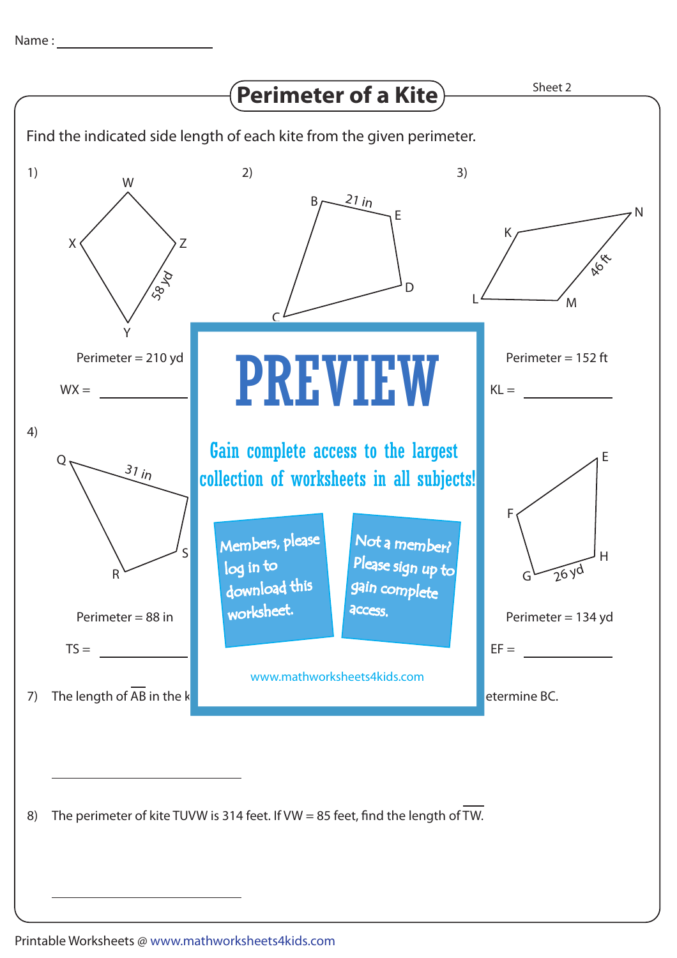